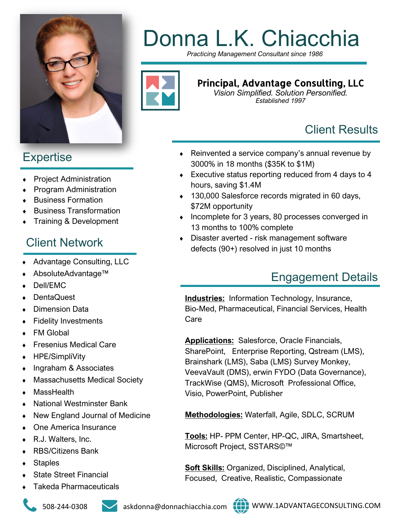

# **Expertise**

- Project Administration
- Program Administration
- Business Formation
- Business Transformation
- Training & Development

# Client Network

- Advantage Consulting, LLC
- AbsoluteAdvantage™
- Dell/EMC
- **DentaQuest**
- Dimension Data
- Fidelity Investments
- FM Global
- Fresenius Medical Care
- ◆ HPE/SimpliVity
- Ingraham & Associates
- Massachusetts Medical Society
- MassHealth
- National Westminster Bank
- New England Journal of Medicine
- One America Insurance
- ◆ R.J. Walters, Inc.
- RBS/Citizens Bank
- **Staples**
- State Street Financial
- Takeda Pharmaceuticals







# Donna L.K. Chiacchia

*Practicing Management Consultant since 1986*



#### Principal, Advantage Consulting, LLC

*Vision Simplified. Solution Personified. Established 1997*

# Client Results

- ◆ Reinvented a service company's annual revenue by 3000% in 18 months (\$35K to \$1M)
- Executive status reporting reduced from 4 days to 4 hours, saving \$1.4M
- ◆ 130,000 Salesforce records migrated in 60 days, \$72M opportunity
- Incomplete for 3 years, 80 processes converged in 13 months to 100% complete
- Disaster averted risk management software defects (90+) resolved in just 10 months

# Engagement Details

**Industries:** Information Technology, Insurance, Bio-Med, Pharmaceutical, Financial Services, Health Care

**Applications:** Salesforce, Oracle Financials, SharePoint, Enterprise Reporting, Qstream (LMS), Brainshark (LMS), Saba (LMS) Survey Monkey, VeevaVault (DMS), erwin FYDO (Data Governance), TrackWise (QMS), Microsoft Professional Office, Visio, PowerPoint, Publisher

**Methodologies:** Waterfall, Agile, SDLC, SCRUM

**Tools:** HP- PPM Center, HP-QC, JIRA, Smartsheet, Microsoft Project, SSTARS©™

**Soft Skills:** Organized, Disciplined, Analytical, Focused, Creative, Realistic, Compassionate